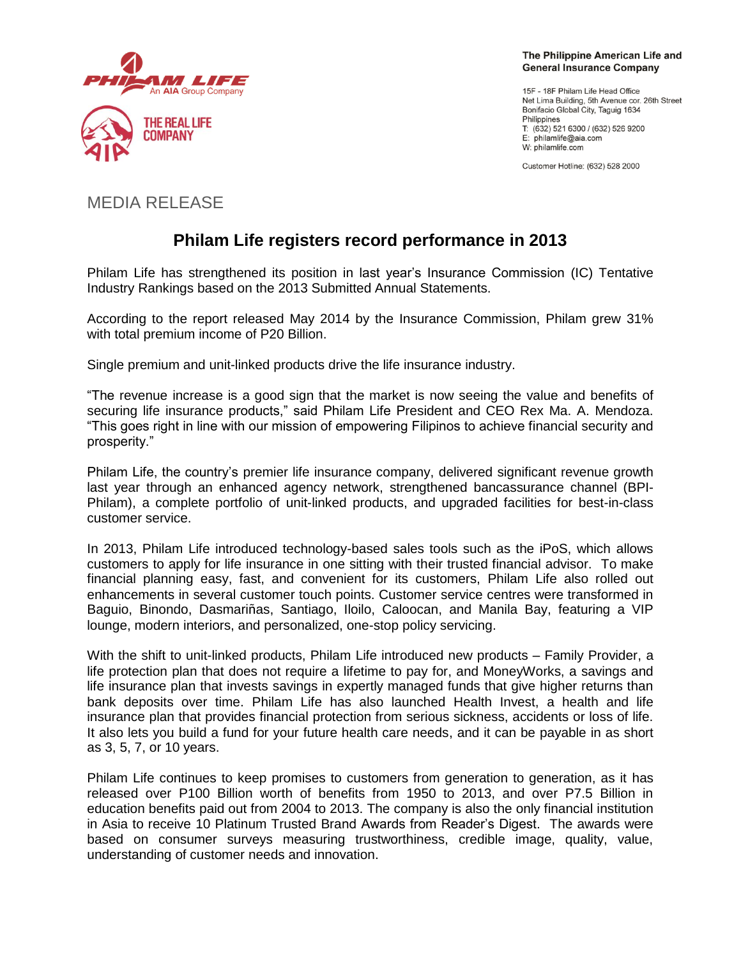

The Philippine American Life and **General Insurance Company** 

15F - 18F Philam Life Head Office Net Lima Building, 5th Avenue cor. 26th Street Bonifacio Global City, Taguig 1634 Philippines T: (632) 521 6300 / (632) 526 9200 E: philamlife@aia.com W: philamlife.com

Customer Hotline: (632) 528 2000

# MEDIA RELEASE

# **Philam Life registers record performance in 2013**

Philam Life has strengthened its position in last year's Insurance Commission (IC) Tentative Industry Rankings based on the 2013 Submitted Annual Statements.

According to the report released May 2014 by the Insurance Commission, Philam grew 31% with total premium income of P20 Billion.

Single premium and unit-linked products drive the life insurance industry.

"The revenue increase is a good sign that the market is now seeing the value and benefits of securing life insurance products," said Philam Life President and CEO Rex Ma. A. Mendoza. "This goes right in line with our mission of empowering Filipinos to achieve financial security and prosperity."

Philam Life, the country's premier life insurance company, delivered significant revenue growth last year through an enhanced agency network, strengthened bancassurance channel (BPI-Philam), a complete portfolio of unit-linked products, and upgraded facilities for best-in-class customer service.

In 2013, Philam Life introduced technology-based sales tools such as the iPoS, which allows customers to apply for life insurance in one sitting with their trusted financial advisor. To make financial planning easy, fast, and convenient for its customers, Philam Life also rolled out enhancements in several customer touch points. Customer service centres were transformed in Baguio, Binondo, Dasmariñas, Santiago, Iloilo, Caloocan, and Manila Bay, featuring a VIP lounge, modern interiors, and personalized, one-stop policy servicing.

With the shift to unit-linked products, Philam Life introduced new products – Family Provider, a life protection plan that does not require a lifetime to pay for, and MoneyWorks, a savings and life insurance plan that invests savings in expertly managed funds that give higher returns than bank deposits over time. Philam Life has also launched Health Invest, a health and life insurance plan that provides financial protection from serious sickness, accidents or loss of life. It also lets you build a fund for your future health care needs, and it can be payable in as short as 3, 5, 7, or 10 years.

Philam Life continues to keep promises to customers from generation to generation, as it has released over P100 Billion worth of benefits from 1950 to 2013, and over P7.5 Billion in education benefits paid out from 2004 to 2013. The company is also the only financial institution in Asia to receive 10 Platinum Trusted Brand Awards from Reader's Digest. The awards were based on consumer surveys measuring trustworthiness, credible image, quality, value, understanding of customer needs and innovation.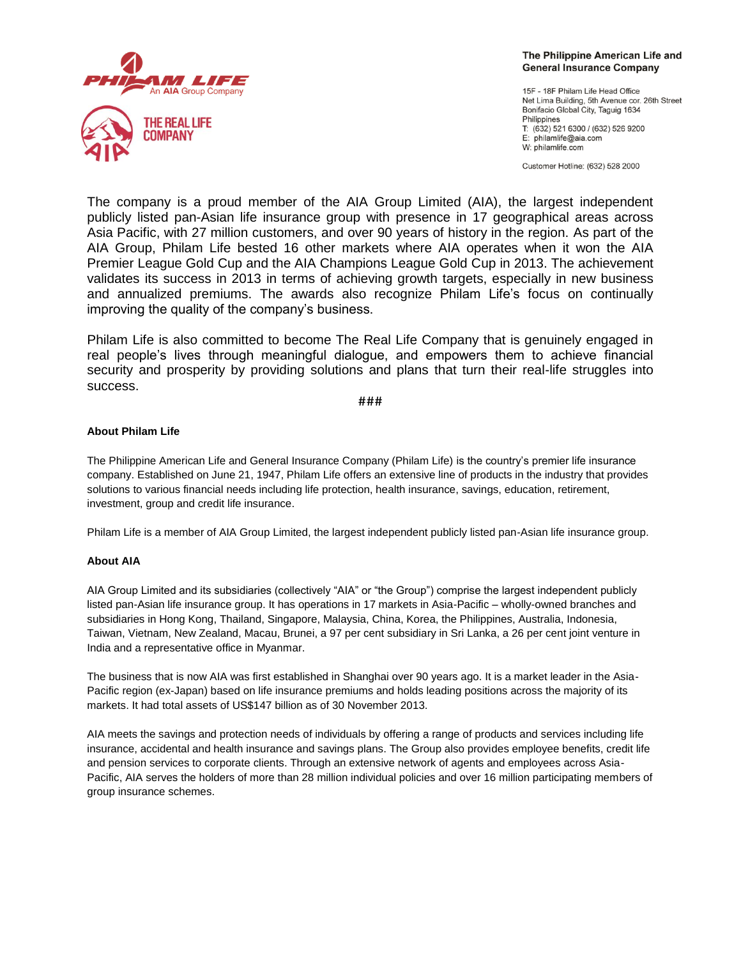

The Philippine American Life and **General Insurance Company** 

15F - 18F Philam Life Head Office Net Lima Building, 5th Avenue cor. 26th Street Bonifacio Global City, Taguig 1634 Philippines T: (632) 521 6300 / (632) 526 9200 E: philamlife@aia.com W: philamlife.com

Customer Hotline: (632) 528 2000

The company is a proud member of the AIA Group Limited (AIA), the largest independent publicly listed pan-Asian life insurance group with presence in 17 geographical areas across Asia Pacific, with 27 million customers, and over 90 years of history in the region. As part of the AIA Group, Philam Life bested 16 other markets where AIA operates when it won the AIA Premier League Gold Cup and the AIA Champions League Gold Cup in 2013. The achievement validates its success in 2013 in terms of achieving growth targets, especially in new business and annualized premiums. The awards also recognize Philam Life's focus on continually improving the quality of the company's business.

Philam Life is also committed to become The Real Life Company that is genuinely engaged in real people's lives through meaningful dialogue, and empowers them to achieve financial security and prosperity by providing solutions and plans that turn their real-life struggles into success.

**###**

# **About Philam Life**

The Philippine American Life and General Insurance Company (Philam Life) is the country's premier life insurance company. Established on June 21, 1947, Philam Life offers an extensive line of products in the industry that provides solutions to various financial needs including life protection, health insurance, savings, education, retirement, investment, group and credit life insurance.

Philam Life is a member of AIA Group Limited, the largest independent publicly listed pan-Asian life insurance group.

# **About AIA**

AIA Group Limited and its subsidiaries (collectively "AIA" or "the Group") comprise the largest independent publicly listed pan-Asian life insurance group. It has operations in 17 markets in Asia-Pacific – wholly-owned branches and subsidiaries in Hong Kong, Thailand, Singapore, Malaysia, China, Korea, the Philippines, Australia, Indonesia, Taiwan, Vietnam, New Zealand, Macau, Brunei, a 97 per cent subsidiary in Sri Lanka, a 26 per cent joint venture in India and a representative office in Myanmar.

The business that is now AIA was first established in Shanghai over 90 years ago. It is a market leader in the Asia-Pacific region (ex-Japan) based on life insurance premiums and holds leading positions across the majority of its markets. It had total assets of US\$147 billion as of 30 November 2013.

AIA meets the savings and protection needs of individuals by offering a range of products and services including life insurance, accidental and health insurance and savings plans. The Group also provides employee benefits, credit life and pension services to corporate clients. Through an extensive network of agents and employees across Asia-Pacific, AIA serves the holders of more than 28 million individual policies and over 16 million participating members of group insurance schemes.